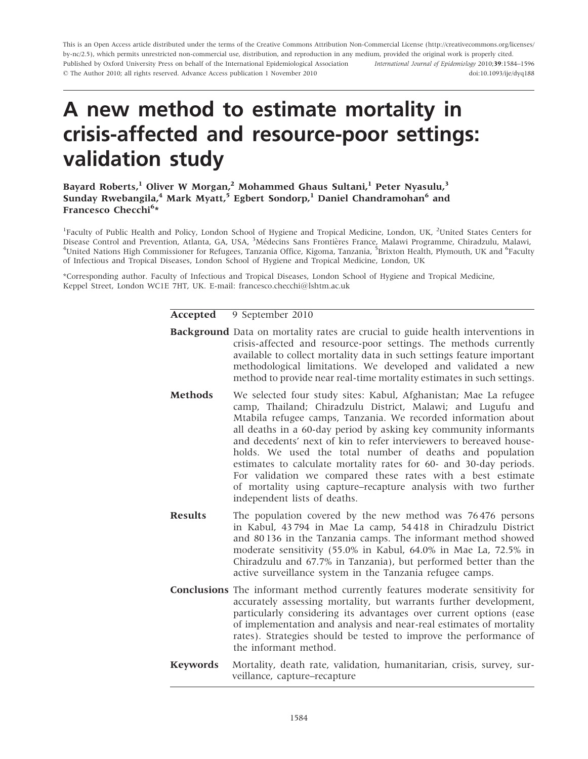This is an Open Access article distributed under the terms of the Creative Commons Attribution Non-Commercial License (<http://creativecommons.org/licenses/> by-nc/2.5), which permits unrestricted non-commercial use, distribution, and reproduction in any medium, provided the original work is properly cited. Published by Oxford University Press on behalf of the International Epidemiological Association © The Author 2010; all rights reserved. Advance Access publication 1 November 2010 International Journal of Epidemiology 2010;39:1584–1596 doi:10.1093/ije/dyq188

# A new method to estimate mortality in crisis-affected and resource-poor settings: validation study

Bayard Roberts,<sup>1</sup> Oliver W Morgan,<sup>2</sup> Mohammed Ghaus Sultani,<sup>1</sup> Peter Nyasulu,<sup>3</sup> Sunday Rwebangila,<sup>4</sup> Mark Myatt,<sup>5</sup> Egbert Sondorp,<sup>1</sup> Daniel Chandramohan<sup>6</sup> and Francesco Checchi<sup>6\*</sup>

<sup>1</sup>Faculty of Public Health and Policy, London School of Hygiene and Tropical Medicine, London, UK, <sup>2</sup>United States Centers for Disease Control and Prevention, Atlanta, GA, USA, <sup>3</sup>Médecins Sans Frontières France, Malawi Programme, Chiradzulu, Malawi,<br><sup>4</sup>United Nations High Commissioner for Refugees, Tanzania Office Kiroma Tanzania <sup>5</sup>Prixton Healt United Nations High Commissioner for Refugees, Tanzania Office, Kigoma, Tanzania, <sup>5</sup>Brixton Health, Plymouth, UK and <sup>6</sup>Faculty of Infectious and Tropical Diseases, London School of Hygiene and Tropical Medicine, London, UK

\*Corresponding author. Faculty of Infectious and Tropical Diseases, London School of Hygiene and Tropical Medicine, Keppel Street, London WC1E 7HT, UK. E-mail: francesco.checchi@lshtm.ac.uk

Accepted 9 September 2010

- Background Data on mortality rates are crucial to guide health interventions in crisis-affected and resource-poor settings. The methods currently available to collect mortality data in such settings feature important methodological limitations. We developed and validated a new method to provide near real-time mortality estimates in such settings.
- Methods We selected four study sites: Kabul, Afghanistan; Mae La refugee camp, Thailand; Chiradzulu District, Malawi; and Lugufu and Mtabila refugee camps, Tanzania. We recorded information about all deaths in a 60-day period by asking key community informants and decedents' next of kin to refer interviewers to bereaved households. We used the total number of deaths and population estimates to calculate mortality rates for 60- and 30-day periods. For validation we compared these rates with a best estimate of mortality using capture–recapture analysis with two further independent lists of deaths.
- Results The population covered by the new method was 76 476 persons in Kabul, 43 794 in Mae La camp, 54 418 in Chiradzulu District and 80 136 in the Tanzania camps. The informant method showed moderate sensitivity (55.0% in Kabul, 64.0% in Mae La, 72.5% in Chiradzulu and 67.7% in Tanzania), but performed better than the active surveillance system in the Tanzania refugee camps.
- Conclusions The informant method currently features moderate sensitivity for accurately assessing mortality, but warrants further development, particularly considering its advantages over current options (ease of implementation and analysis and near-real estimates of mortality rates). Strategies should be tested to improve the performance of the informant method.
- Keywords Mortality, death rate, validation, humanitarian, crisis, survey, surveillance, capture–recapture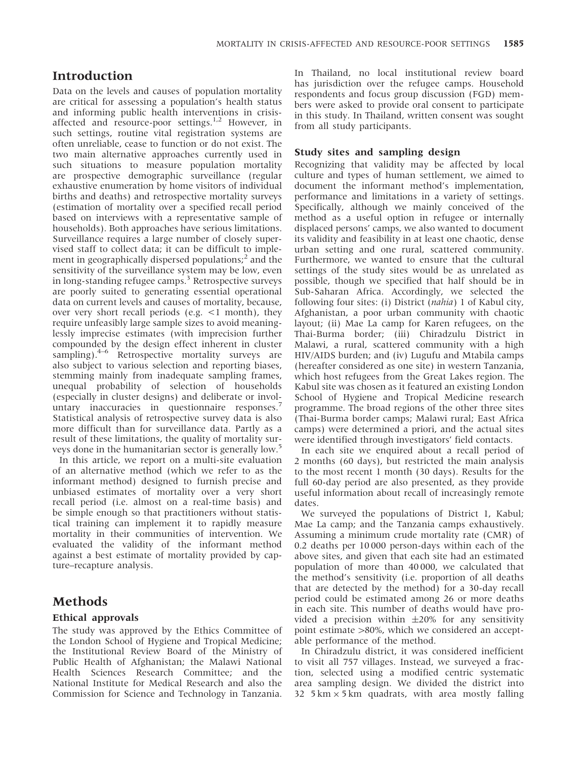# Introduction

Data on the levels and causes of population mortality are critical for assessing a population's health status and informing public health interventions in crisisaffected and resource-poor settings.<sup>1,2</sup> However, in such settings, routine vital registration systems are often unreliable, cease to function or do not exist. The two main alternative approaches currently used in such situations to measure population mortality are prospective demographic surveillance (regular exhaustive enumeration by home visitors of individual births and deaths) and retrospective mortality surveys (estimation of mortality over a specified recall period based on interviews with a representative sample of households). Both approaches have serious limitations. Surveillance requires a large number of closely supervised staff to collect data; it can be difficult to implement in geographically dispersed populations;<sup>2</sup> and the sensitivity of the surveillance system may be low, even in long-standing refugee camps.<sup>3</sup> Retrospective surveys are poorly suited to generating essential operational data on current levels and causes of mortality, because, over very short recall periods (e.g. <1 month), they require unfeasibly large sample sizes to avoid meaninglessly imprecise estimates (with imprecision further compounded by the design effect inherent in cluster sampling).<sup>4–6</sup> Retrospective mortality surveys are also subject to various selection and reporting biases, stemming mainly from inadequate sampling frames, unequal probability of selection of households (especially in cluster designs) and deliberate or involuntary inaccuracies in questionnaire responses.<sup>7</sup> Statistical analysis of retrospective survey data is also more difficult than for surveillance data. Partly as a result of these limitations, the quality of mortality surveys done in the humanitarian sector is generally low.<sup>5</sup>

In this article, we report on a multi-site evaluation of an alternative method (which we refer to as the informant method) designed to furnish precise and unbiased estimates of mortality over a very short recall period (i.e. almost on a real-time basis) and be simple enough so that practitioners without statistical training can implement it to rapidly measure mortality in their communities of intervention. We evaluated the validity of the informant method against a best estimate of mortality provided by capture–recapture analysis.

# Methods

#### Ethical approvals

The study was approved by the Ethics Committee of the London School of Hygiene and Tropical Medicine; the Institutional Review Board of the Ministry of Public Health of Afghanistan; the Malawi National Health Sciences Research Committee; and the National Institute for Medical Research and also the Commission for Science and Technology in Tanzania.

In Thailand, no local institutional review board has jurisdiction over the refugee camps. Household respondents and focus group discussion (FGD) members were asked to provide oral consent to participate in this study. In Thailand, written consent was sought from all study participants.

#### Study sites and sampling design

Recognizing that validity may be affected by local culture and types of human settlement, we aimed to document the informant method's implementation, performance and limitations in a variety of settings. Specifically, although we mainly conceived of the method as a useful option in refugee or internally displaced persons' camps, we also wanted to document its validity and feasibility in at least one chaotic, dense urban setting and one rural, scattered community. Furthermore, we wanted to ensure that the cultural settings of the study sites would be as unrelated as possible, though we specified that half should be in Sub-Saharan Africa. Accordingly, we selected the following four sites: (i) District (nahia) 1 of Kabul city, Afghanistan, a poor urban community with chaotic layout; (ii) Mae La camp for Karen refugees, on the Thai-Burma border; (iii) Chiradzulu District in Malawi, a rural, scattered community with a high HIV/AIDS burden; and (iv) Lugufu and Mtabila camps (hereafter considered as one site) in western Tanzania, which host refugees from the Great Lakes region. The Kabul site was chosen as it featured an existing London School of Hygiene and Tropical Medicine research programme. The broad regions of the other three sites (Thai-Burma border camps; Malawi rural; East Africa camps) were determined a priori, and the actual sites were identified through investigators' field contacts.

In each site we enquired about a recall period of 2 months (60 days), but restricted the main analysis to the most recent 1 month (30 days). Results for the full 60-day period are also presented, as they provide useful information about recall of increasingly remote dates.

We surveyed the populations of District 1, Kabul; Mae La camp; and the Tanzania camps exhaustively. Assuming a minimum crude mortality rate (CMR) of 0.2 deaths per 10 000 person-days within each of the above sites, and given that each site had an estimated population of more than 40 000, we calculated that the method's sensitivity (i.e. proportion of all deaths that are detected by the method) for a 30-day recall period could be estimated among 26 or more deaths in each site. This number of deaths would have provided a precision within  $\pm 20\%$  for any sensitivity point estimate  $>80\%$ , which we considered an acceptable performance of the method.

In Chiradzulu district, it was considered inefficient to visit all 757 villages. Instead, we surveyed a fraction, selected using a modified centric systematic area sampling design. We divided the district into 32 5 km  $\times$  5 km quadrats, with area mostly falling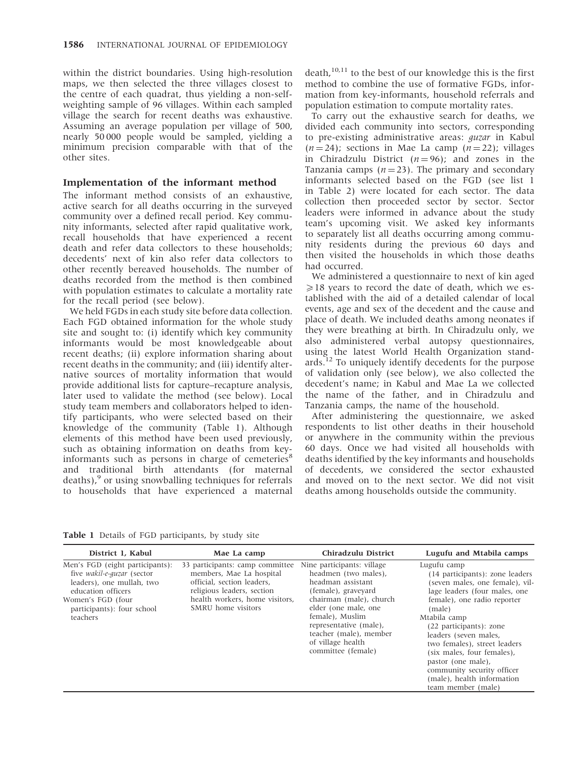within the district boundaries. Using high-resolution maps, we then selected the three villages closest to the centre of each quadrat, thus yielding a non-selfweighting sample of 96 villages. Within each sampled village the search for recent deaths was exhaustive. Assuming an average population per village of 500, nearly 50 000 people would be sampled, yielding a minimum precision comparable with that of the other sites.

### Implementation of the informant method

The informant method consists of an exhaustive, active search for all deaths occurring in the surveyed community over a defined recall period. Key community informants, selected after rapid qualitative work, recall households that have experienced a recent death and refer data collectors to these households; decedents' next of kin also refer data collectors to other recently bereaved households. The number of deaths recorded from the method is then combined with population estimates to calculate a mortality rate for the recall period (see below).

We held FGDs in each study site before data collection. Each FGD obtained information for the whole study site and sought to: (i) identify which key community informants would be most knowledgeable about recent deaths; (ii) explore information sharing about recent deaths in the community; and (iii) identify alternative sources of mortality information that would provide additional lists for capture–recapture analysis, later used to validate the method (see below). Local study team members and collaborators helped to identify participants, who were selected based on their knowledge of the community (Table 1). Although elements of this method have been used previously, such as obtaining information on deaths from keyinformants such as persons in charge of cemeteries $8$ and traditional birth attendants (for maternal deaths),<sup>9</sup> or using snowballing techniques for referrals to households that have experienced a maternal death, $10,11$  to the best of our knowledge this is the first method to combine the use of formative FGDs, information from key-informants, household referrals and population estimation to compute mortality rates.

To carry out the exhaustive search for deaths, we divided each community into sectors, corresponding to pre-existing administrative areas: *quzar* in Kabul  $(n = 24)$ ; sections in Mae La camp  $(n = 22)$ ; villages in Chiradzulu District  $(n=96)$ ; and zones in the Tanzania camps  $(n=23)$ . The primary and secondary informants selected based on the FGD (see list 1 in Table 2) were located for each sector. The data collection then proceeded sector by sector. Sector leaders were informed in advance about the study team's upcoming visit. We asked key informants to separately list all deaths occurring among community residents during the previous 60 days and then visited the households in which those deaths had occurred.

We administered a questionnaire to next of kin aged  $\geq$  18 years to record the date of death, which we established with the aid of a detailed calendar of local events, age and sex of the decedent and the cause and place of death. We included deaths among neonates if they were breathing at birth. In Chiradzulu only, we also administered verbal autopsy questionnaires, using the latest World Health Organization stand $ards$ <sup>12</sup> To uniquely identify decedents for the purpose of validation only (see below), we also collected the decedent's name; in Kabul and Mae La we collected the name of the father, and in Chiradzulu and Tanzania camps, the name of the household.

After administering the questionnaire, we asked respondents to list other deaths in their household or anywhere in the community within the previous 60 days. Once we had visited all households with deaths identified by the key informants and households of decedents, we considered the sector exhausted and moved on to the next sector. We did not visit deaths among households outside the community.

Table 1 Details of FGD participants, by study site

| District 1, Kabul                                                                                                                                                               | Mae La camp                                                                                                                                                                     | Chiradzulu District                                                                                                                                                                                                                                                 | Lugufu and Mtabila camps                                                                                                                                                                                                                                                                                                                                                                              |
|---------------------------------------------------------------------------------------------------------------------------------------------------------------------------------|---------------------------------------------------------------------------------------------------------------------------------------------------------------------------------|---------------------------------------------------------------------------------------------------------------------------------------------------------------------------------------------------------------------------------------------------------------------|-------------------------------------------------------------------------------------------------------------------------------------------------------------------------------------------------------------------------------------------------------------------------------------------------------------------------------------------------------------------------------------------------------|
| Men's FGD (eight participants):<br>five wakil-e-guzar (sector<br>leaders), one mullah, two<br>education officers<br>Women's FGD (four<br>participants): four school<br>teachers | 33 participants: camp committee<br>members, Mae La hospital<br>official, section leaders.<br>religious leaders, section<br>health workers, home visitors,<br>SMRU home visitors | Nine participants: village<br>headmen (two males),<br>headman assistant<br>(female), graveyard<br>chairman (male), church<br>elder (one male, one<br>female), Muslim<br>representative (male),<br>teacher (male), member<br>of village health<br>committee (female) | Lugufu camp<br>(14 participants): zone leaders<br>(seven males, one female), vil-<br>lage leaders (four males, one<br>female), one radio reporter<br>(male)<br>Mtabila camp<br>(22 participants): zone<br>leaders (seven males,<br>two females), street leaders<br>(six males, four females),<br>pastor (one male),<br>community security officer<br>(male), health information<br>team member (male) |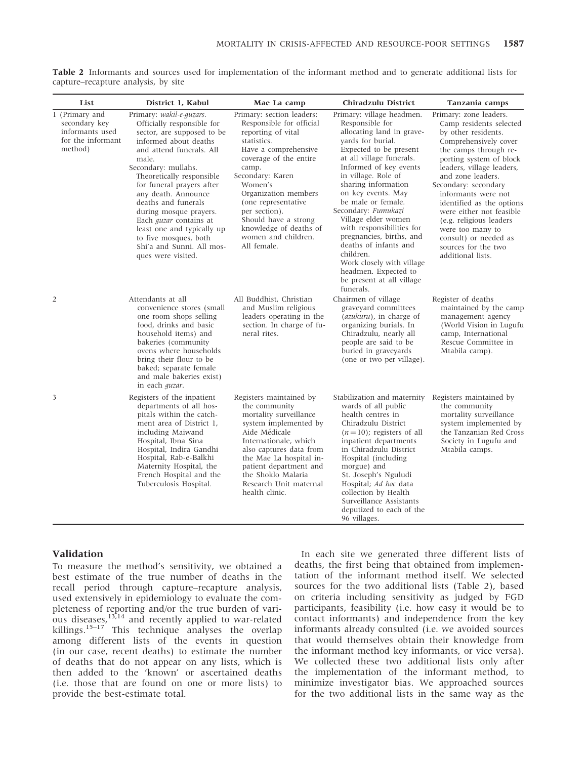| List                                                                               | District 1, Kabul                                                                                                                                                                                                                                                                                                                                                                                                                               | Mae La camp                                                                                                                                                                                                                                                                                                                                  | Chiradzulu District                                                                                                                                                                                                                                                                                                                                                                                                                                                                                                  | Tanzania camps                                                                                                                                                                                                                                                                                                                                                                                                                      |
|------------------------------------------------------------------------------------|-------------------------------------------------------------------------------------------------------------------------------------------------------------------------------------------------------------------------------------------------------------------------------------------------------------------------------------------------------------------------------------------------------------------------------------------------|----------------------------------------------------------------------------------------------------------------------------------------------------------------------------------------------------------------------------------------------------------------------------------------------------------------------------------------------|----------------------------------------------------------------------------------------------------------------------------------------------------------------------------------------------------------------------------------------------------------------------------------------------------------------------------------------------------------------------------------------------------------------------------------------------------------------------------------------------------------------------|-------------------------------------------------------------------------------------------------------------------------------------------------------------------------------------------------------------------------------------------------------------------------------------------------------------------------------------------------------------------------------------------------------------------------------------|
| 1 (Primary and<br>secondary key<br>informants used<br>for the informant<br>method) | Primary: wakil-e-guzars.<br>Officially responsible for<br>sector, are supposed to be<br>informed about deaths<br>and attend funerals. All<br>male.<br>Secondary: mullahs.<br>Theoretically responsible<br>for funeral prayers after<br>any death. Announce<br>deaths and funerals<br>during mosque prayers.<br>Each guzar contains at<br>least one and typically up<br>to five mosques, both<br>Shi'a and Sunni. All mos-<br>ques were visited. | Primary: section leaders:<br>Responsible for official<br>reporting of vital<br>statistics.<br>Have a comprehensive<br>coverage of the entire<br>camp.<br>Secondary: Karen<br>Women's<br>Organization members<br>(one representative<br>per section).<br>Should have a strong<br>knowledge of deaths of<br>women and children.<br>All female. | Primary: village headmen.<br>Responsible for<br>allocating land in grave-<br>yards for burial.<br>Expected to be present<br>at all village funerals.<br>Informed of key events<br>in village. Role of<br>sharing information<br>on key events. May<br>be male or female.<br>Secondary: Fumukazi<br>Village elder women<br>with responsibilities for<br>pregnancies, births, and<br>deaths of infants and<br>children.<br>Work closely with village<br>headmen. Expected to<br>be present at all village<br>funerals. | Primary: zone leaders.<br>Camp residents selected<br>by other residents.<br>Comprehensively cover<br>the camps through re-<br>porting system of block<br>leaders, village leaders,<br>and zone leaders.<br>Secondary: secondary<br>informants were not<br>identified as the options<br>were either not feasible<br>(e.g. religious leaders<br>were too many to<br>consult) or needed as<br>sources for the two<br>additional lists. |
| $\overline{2}$                                                                     | Attendants at all<br>convenience stores (small<br>one room shops selling<br>food, drinks and basic<br>household items) and<br>bakeries (community<br>ovens where households<br>bring their flour to be<br>baked; separate female<br>and male bakeries exist)<br>in each guzar.                                                                                                                                                                  | All Buddhist, Christian<br>and Muslim religious<br>leaders operating in the<br>section. In charge of fu-<br>neral rites.                                                                                                                                                                                                                     | Chairmen of village<br>graveyard committees<br>$(azukuru)$ , in charge of<br>organizing burials. In<br>Chiradzulu, nearly all<br>people are said to be<br>buried in graveyards<br>(one or two per village).                                                                                                                                                                                                                                                                                                          | Register of deaths<br>maintained by the camp<br>management agency<br>(World Vision in Lugufu<br>camp, International<br>Rescue Committee in<br>Mtabila camp).                                                                                                                                                                                                                                                                        |
| 3                                                                                  | Registers of the inpatient<br>departments of all hos-<br>pitals within the catch-<br>ment area of District 1,<br>including Maiwand<br>Hospital, Ibna Sina<br>Hospital, Indira Gandhi<br>Hospital, Rab-e-Balkhi<br>Maternity Hospital, the<br>French Hospital and the<br>Tuberculosis Hospital.                                                                                                                                                  | Registers maintained by<br>the community<br>mortality surveillance<br>system implemented by<br>Aide Médicale<br>Internationale, which<br>also captures data from<br>the Mae La hospital in-<br>patient department and<br>the Shoklo Malaria<br>Research Unit maternal<br>health clinic.                                                      | Stabilization and maternity<br>wards of all public<br>health centres in<br>Chiradzulu District<br>$(n=10)$ ; registers of all<br>inpatient departments<br>in Chiradzulu District<br>Hospital (including<br>morgue) and<br>St. Joseph's Nguludi<br>Hospital; Ad hoc data<br>collection by Health<br>Surveillance Assistants<br>deputized to each of the<br>96 villages.                                                                                                                                               | Registers maintained by<br>the community<br>mortality surveillance<br>system implemented by<br>the Tanzanian Red Cross<br>Society in Lugufu and<br>Mtabila camps.                                                                                                                                                                                                                                                                   |

Table 2 Informants and sources used for implementation of the informant method and to generate additional lists for capture–recapture analysis, by site

#### Validation

To measure the method's sensitivity, we obtained a best estimate of the true number of deaths in the recall period through capture–recapture analysis, used extensively in epidemiology to evaluate the completeness of reporting and/or the true burden of various diseases,<sup>13,14</sup> and recently applied to war-related killings.<sup>15–17</sup> This technique analyses the overlap among different lists of the events in question (in our case, recent deaths) to estimate the number of deaths that do not appear on any lists, which is then added to the 'known' or ascertained deaths (i.e. those that are found on one or more lists) to provide the best-estimate total.

In each site we generated three different lists of deaths, the first being that obtained from implementation of the informant method itself. We selected sources for the two additional lists (Table 2), based on criteria including sensitivity as judged by FGD participants, feasibility (i.e. how easy it would be to contact informants) and independence from the key informants already consulted (i.e. we avoided sources that would themselves obtain their knowledge from the informant method key informants, or vice versa). We collected these two additional lists only after the implementation of the informant method, to minimize investigator bias. We approached sources for the two additional lists in the same way as the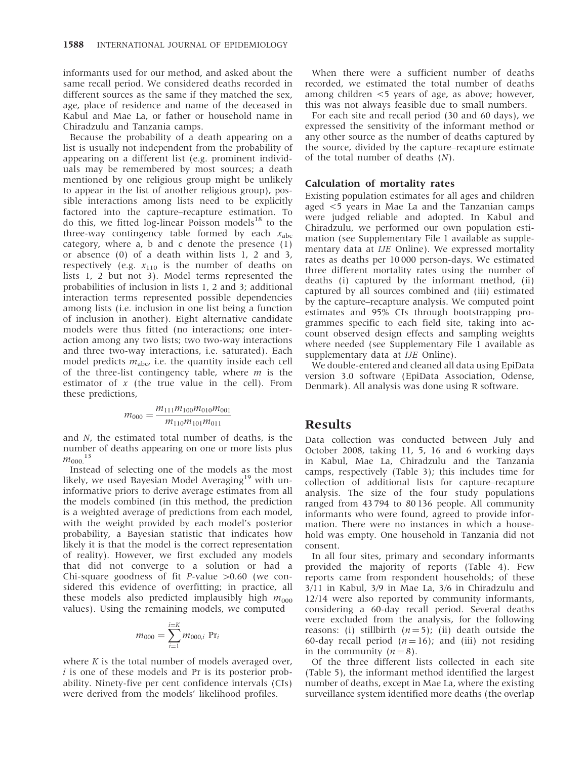informants used for our method, and asked about the same recall period. We considered deaths recorded in different sources as the same if they matched the sex, age, place of residence and name of the deceased in Kabul and Mae La, or father or household name in Chiradzulu and Tanzania camps.

Because the probability of a death appearing on a list is usually not independent from the probability of appearing on a different list (e.g. prominent individuals may be remembered by most sources; a death mentioned by one religious group might be unlikely to appear in the list of another religious group), possible interactions among lists need to be explicitly factored into the capture–recapture estimation. To do this, we fitted log-linear Poisson models $18$  to the three-way contingency table formed by each  $x_{abc}$ category, where a, b and c denote the presence (1) or absence (0) of a death within lists 1, 2 and 3, respectively (e.g.  $x_{110}$  is the number of deaths on lists 1, 2 but not 3). Model terms represented the probabilities of inclusion in lists 1, 2 and 3; additional interaction terms represented possible dependencies among lists (i.e. inclusion in one list being a function of inclusion in another). Eight alternative candidate models were thus fitted (no interactions; one interaction among any two lists; two two-way interactions and three two-way interactions, i.e. saturated). Each model predicts  $m_{abc}$ , i.e. the quantity inside each cell of the three-list contingency table, where  $m$  is the estimator of  $x$  (the true value in the cell). From these predictions,

$$
m_{000} = \frac{m_{111}m_{100}m_{010}m_{001}}{m_{110}m_{101}m_{011}}
$$

and N, the estimated total number of deaths, is the number of deaths appearing on one or more lists plus  $m_{000}$   $^{\rm 13}$ 

Instead of selecting one of the models as the most likely, we used Bayesian Model Averaging<sup>19</sup> with uninformative priors to derive average estimates from all the models combined (in this method, the prediction is a weighted average of predictions from each model, with the weight provided by each model's posterior probability, a Bayesian statistic that indicates how likely it is that the model is the correct representation of reality). However, we first excluded any models that did not converge to a solution or had a Chi-square goodness of fit *P*-value  $>0.60$  (we considered this evidence of overfitting; in practice, all these models also predicted implausibly high  $m_{000}$ values). Using the remaining models, we computed

$$
m_{000} = \sum_{i=1}^{i=K} m_{000,i} \Pr_i
$$

where  $K$  is the total number of models averaged over, i is one of these models and Pr is its posterior probability. Ninety-five per cent confidence intervals (CIs) were derived from the models' likelihood profiles.

When there were a sufficient number of deaths recorded, we estimated the total number of deaths among children <5 years of age, as above; however, this was not always feasible due to small numbers.

For each site and recall period (30 and 60 days), we expressed the sensitivity of the informant method or any other source as the number of deaths captured by the source, divided by the capture–recapture estimate of the total number of deaths (N).

#### Calculation of mortality rates

Existing population estimates for all ages and children aged <5 years in Mae La and the Tanzanian camps were judged reliable and adopted. In Kabul and Chiradzulu, we performed our own population estimation (see Supplementary File 1 available as supplementary data at IJE Online). We expressed mortality rates as deaths per 10 000 person-days. We estimated three different mortality rates using the number of deaths (i) captured by the informant method, (ii) captured by all sources combined and (iii) estimated by the capture–recapture analysis. We computed point estimates and 95% CIs through bootstrapping programmes specific to each field site, taking into account observed design effects and sampling weights where needed (see Supplementary File 1 available as supplementary data at *IJE* Online).

We double-entered and cleaned all data using EpiData version 3.0 software (EpiData Association, Odense, Denmark). All analysis was done using R software.

## Results

Data collection was conducted between July and October 2008, taking 11, 5, 16 and 6 working days in Kabul, Mae La, Chiradzulu and the Tanzania camps, respectively (Table 3); this includes time for collection of additional lists for capture–recapture analysis. The size of the four study populations ranged from 43 794 to 80 136 people. All community informants who were found, agreed to provide information. There were no instances in which a household was empty. One household in Tanzania did not consent.

In all four sites, primary and secondary informants provided the majority of reports (Table 4). Few reports came from respondent households; of these 3/11 in Kabul, 3/9 in Mae La, 3/6 in Chiradzulu and 12/14 were also reported by community informants, considering a 60-day recall period. Several deaths were excluded from the analysis, for the following reasons: (i) stillbirth  $(n=5)$ ; (ii) death outside the 60-day recall period  $(n = 16)$ ; and (iii) not residing in the community  $(n = 8)$ .

Of the three different lists collected in each site (Table 5), the informant method identified the largest number of deaths, except in Mae La, where the existing surveillance system identified more deaths (the overlap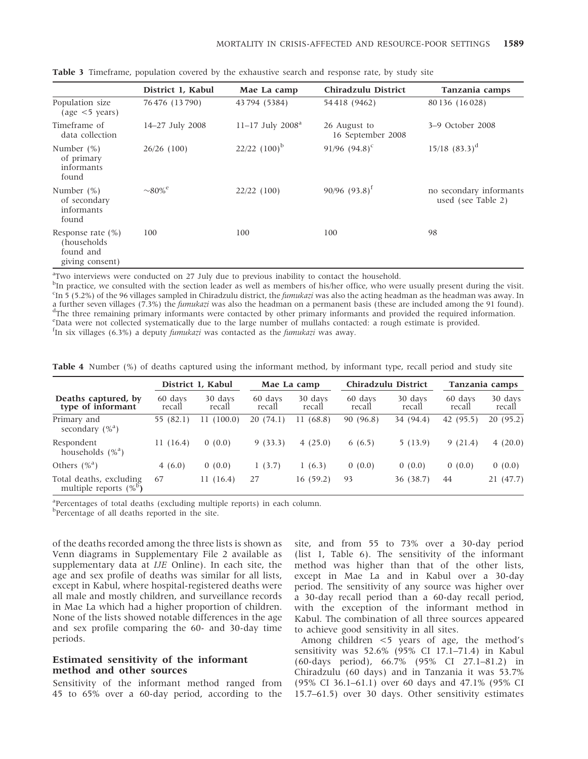|                                                                       | District 1, Kabul     | Mae La camp             | Chiradzulu District               | Tanzania camps                                |
|-----------------------------------------------------------------------|-----------------------|-------------------------|-----------------------------------|-----------------------------------------------|
| Population size<br>$\frac{\text{age}}{\text{9}}$ (age $\text{9}$ )    | 76476 (13790)         | 43 794 (5384)           | 54418 (9462)                      | 80 136 (16 0 28)                              |
| Timeframe of<br>data collection                                       | 14-27 July 2008       | $11 - 17$ July $2008^a$ | 26 August to<br>16 September 2008 | 3-9 October 2008                              |
| Number $(\%)$<br>of primary<br>informants<br>found                    | $26/26$ (100)         | $22/22$ $(100)^{b}$     | 91/96 $(94.8)^c$                  | $15/18$ $(83.3)^d$                            |
| Number $(\%)$<br>of secondary<br>informants<br>found                  | $\sim$ 80% $^{\circ}$ | $22/22$ (100)           | $90/96$ $(93.8)^{f}$              | no secondary informants<br>used (see Table 2) |
| Response rate $(\% )$<br>(households)<br>found and<br>giving consent) | 100                   | 100                     | 100                               | 98                                            |

|  | <b>Table 3</b> Timeframe, population covered by the exhaustive search and response rate, by study site |  |  |  |  |  |  |  |  |  |  |  |  |
|--|--------------------------------------------------------------------------------------------------------|--|--|--|--|--|--|--|--|--|--|--|--|
|--|--------------------------------------------------------------------------------------------------------|--|--|--|--|--|--|--|--|--|--|--|--|

<sup>a</sup>Two interviews were conducted on 27 July due to previous inability to contact the household.

<sup>b</sup>In practice, we consulted with the section leader as well as members of his/her office, who were usually present during the visit. <sup>c</sup>In 5 (5.2%) of the 96 villages sampled in Chiradzulu district, the *fumukazi* was also the acting headman as the headman was away. In a further seven villages (7.3%) the *fumukazi* was also the headman on a permanent basis (these are included among the 91 found). <sup>d</sup>The three remaining primary informants were contacted by other primary informants and provided the required information. e Data were not collected systematically due to the large number of mullahs contacted: a rough estimate is provided. <sup>f</sup>In six villages (6.3%) a deputy fumukazi was contacted as the fumukazi was away.

Table 4 Number (%) of deaths captured using the informant method, by informant type, recall period and study site

|                                                            |                   | District 1, Kabul |                   | Mae La camp       |                   | Chiradzulu District |                   | Tanzania camps    |
|------------------------------------------------------------|-------------------|-------------------|-------------------|-------------------|-------------------|---------------------|-------------------|-------------------|
| Deaths captured, by<br>type of informant                   | 60 days<br>recall | 30 days<br>recall | 60 days<br>recall | 30 days<br>recall | 60 days<br>recall | 30 days<br>recall   | 60 days<br>recall | 30 days<br>recall |
| Primary and<br>secondary $(\%^a)$                          | 55 (82.1)         | (100.0)<br>11.    | 20(74.1)          | (68.8)<br>11      | 90 (96.8)         | 34 (94.4)           | 42 (95.5)         | 20(95.2)          |
| Respondent<br>households $(\%^a)$                          | 11(16.4)          | 0(0.0)            | 9(33.3)           | 4(25.0)           | 6(6.5)            | 5(13.9)             | 9(21.4)           | 4(20.0)           |
| Others $(\%^a)$                                            | 4(6.0)            | 0(0.0)            | 1(3.7)            | 1(6.3)            | 0(0.0)            | 0(0.0)              | 0(0.0)            | 0(0.0)            |
| Total deaths, excluding<br>multiple reports $(\%^{\circ})$ | 67                | 11(16.4)          | 27                | 16(59.2)          | 93                | 36 (38.7)           | 44                | 21 (47.7)         |

<sup>a</sup>Percentages of total deaths (excluding multiple reports) in each column.

b<sub>Percentage of all deaths reported in the site.</sub>

of the deaths recorded among the three lists is shown as Venn diagrams in Supplementary File 2 available as supplementary data at IJE Online). In each site, the age and sex profile of deaths was similar for all lists, except in Kabul, where hospital-registered deaths were all male and mostly children, and surveillance records in Mae La which had a higher proportion of children. None of the lists showed notable differences in the age and sex profile comparing the 60- and 30-day time periods.

#### Estimated sensitivity of the informant method and other sources

Sensitivity of the informant method ranged from 45 to 65% over a 60-day period, according to the

site, and from 55 to 73% over a 30-day period (list 1, Table 6). The sensitivity of the informant method was higher than that of the other lists, except in Mae La and in Kabul over a 30-day period. The sensitivity of any source was higher over a 30-day recall period than a 60-day recall period, with the exception of the informant method in Kabul. The combination of all three sources appeared to achieve good sensitivity in all sites.

Among children <5 years of age, the method's sensitivity was 52.6% (95% CI 17.1–71.4) in Kabul (60-days period), 66.7% (95% CI 27.1–81.2) in Chiradzulu (60 days) and in Tanzania it was 53.7% (95% CI 36.1–61.1) over 60 days and 47.1% (95% CI 15.7–61.5) over 30 days. Other sensitivity estimates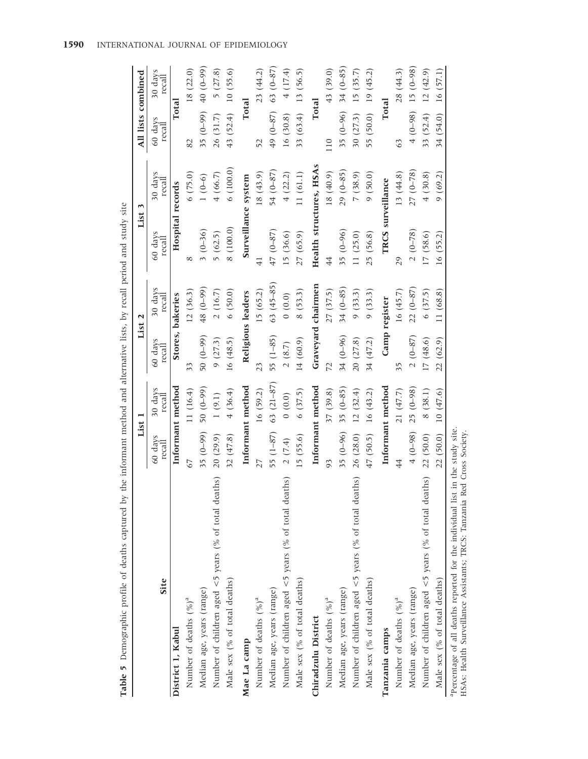| 1590 | INTERNATIONAL JOURNAL OF EPIDEMIOLOGY |  |  |
|------|---------------------------------------|--|--|
|------|---------------------------------------|--|--|

| Table 5 Demographic profile of deaths captured by          |                   | List <sub>1</sub>     |                   | List <sub>2</sub>       | the informant method and alternative lists, by recall period and study site | List 3                  | All lists combined      |                      |
|------------------------------------------------------------|-------------------|-----------------------|-------------------|-------------------------|-----------------------------------------------------------------------------|-------------------------|-------------------------|----------------------|
|                                                            |                   |                       |                   |                         |                                                                             |                         |                         |                      |
| Site                                                       | 60 days<br>recall | 30 days<br>recall     | 60 days<br>recall | 30 days<br>recall       | 60 days<br>recall                                                           | 30 days<br>recall       | 60 days<br>recall       | 30 days<br>recall    |
| District 1, Kabul                                          |                   | Informant method      |                   | Stores, bakeries        |                                                                             | Hospital records        | <b>Total</b>            |                      |
| Number of deaths (%) <sup>a</sup>                          | 67                | 11 (16.4)             | 33                | 12(36.3)                |                                                                             | 6(75.0)                 | 82                      | 18 (22.0)            |
| Median age, years (range)                                  | 35 (0-99)         | $(66-0)$ 05           | $(66-0)$ 05       | $(66-0)$ 8 <sup>+</sup> | $3(0-36)$                                                                   | $1(0-6)$                |                         | $35(0-99)$ 40 (0-99) |
| Number of children aged $\lt 5$ years (% of total deaths)  | 20 (29.9)         | 1(9.1)                | 9(27.3)           | 2(16.7)                 | 5(62.5)                                                                     | 4(66.7)                 | $26$ (31.7) 5 (27.8)    |                      |
| Male sex (% of total deaths)                               | 32 (47.8)         | 4(36.4)               | 16(48.5)          | 6(50.0)                 | 8 (100.0)                                                                   | 6(100.0)                | 43 (52.4) 10 (55.6)     |                      |
| Mae La camp                                                |                   | Informant method      |                   | Religious leaders       |                                                                             | Surveillance system     | Total                   |                      |
| Number of deaths (%) <sup>a</sup>                          | 27                | 16(59.2)              | 23                | 15(65.2)                | $\frac{1}{4}$                                                               | 18(43.9)                | 52                      | 23(44.2)             |
| Median age, years (range)                                  | 55 (1-87)         | $63(21-87)$           | 55 (1-85)         | $63(45-85)$             | $47(0 - 87)$                                                                | 54 (0-87)               | $49(0-87)$ 63 $(0-87)$  |                      |
| Number of children aged $\leq$ 5 years (% of total deaths) | 2(7.4)            | 0(0.0)                | 2(8.7)            | (0.0)                   | 15 (36.6)                                                                   | 4(22.2)                 | 16 (30.8) $4(17.4)$     |                      |
| Male sex (% of total deaths)                               | 15 (55.6)         | 6(37.5)               | 14 (60.9)         | 8(53.3)                 | 27 (65.9)                                                                   | 11 (61.1)               | 33 (63.4) 13 (56.5)     |                      |
| Chiradzulu District                                        |                   | Informant method      |                   | Graveyard chairmen      |                                                                             | Health structures, HSAs | Total                   |                      |
| Number of deaths (%) <sup>a</sup>                          | 93                | 37 (39.8)             | 72                | 27 (37.5)               | $\overline{4}$                                                              | 18 (40.9)               | 110                     | 43 (39.0)            |
| Median age, years (range)                                  |                   | $35 (0-96) 35 (0-85)$ | 34 (0-96)         | $34(0-85)$              | $35(0-96)$                                                                  | $29(0-85)$              | $35 (0-96)$ 34 (0-85)   |                      |
| Number of children aged $\lt 5$ years (% of total deaths)  | 26 (28.0)         | 12(32.4)              | 20 (27.8)         | 9(33.3)                 | 11(25.0)                                                                    | 7(38.9)                 | 30 $(27.3)$ 15 $(35.7)$ |                      |
| Male sex (% of total deaths)                               | 47 (50.5)         | 16(43.2)              | 34 (47.2)         | 9(33.3)                 | 25 (56.8)                                                                   | 9(50.0)                 | 55 (50.0) 19 (45.2)     |                      |
| Tanzania camps                                             |                   | Informant method      |                   | Camp register           |                                                                             | TRCS surveillance       | Total                   |                      |
| Number of deaths $(%)^a$                                   | $\overline{4}$    | 21(47.7)              | 35                | 16(45.7)                | 29                                                                          | 13(44.8)                | 63                      | 28 (44.3)            |
| Median age, years (range)                                  | $4(0-98)$         | $25(0-98)$            | $2(0-87)$         | $22(0-87)$              | $2(0-78)$                                                                   | $27(0 - 78)$            |                         | $4(0-98)$ 15 (0-98)  |
| Number of children aged $\lt 5$ years (% of total deaths)  | 22 (50.0)         | 8(38.1)               | 17 (48.6)         | 6(37.5)                 | 17 (58.6)                                                                   | 4(30.8)                 | 33 (52.4)               | 12(42.9)             |
| Male sex (% of total deaths)                               | 22 (50.0)         | 10(47.6)              | 22(62.9)          | 11 (68.8)               | 16(55.2)                                                                    | 9(69.2)                 | 34 (54.0)               | 16 (57.1)            |
|                                                            |                   |                       |                   |                         |                                                                             |                         |                         |                      |

And the second of a set of the individual list in the study site.<br>
There individual list in the study site.<br>
HSAs: Health Surveillance Assistants; TRCS: Tanzania Red Cross Society. aPercentage of all deaths reported for the individual list in the study site. HSAs: Health Surveillance Assistants; TRCS: Tanzania Red Cross Society.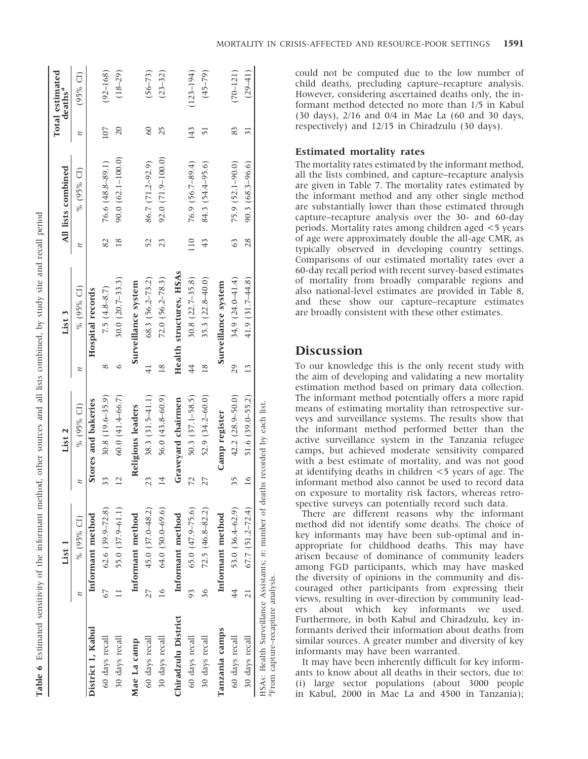|                                                                                                                                   |                 | List 1                 |                  | List 2                   |               | List 3                  |               | All lists combined     |                  | Total estimated<br>$\mathrm{deaths}^\mathrm{a}$ |
|-----------------------------------------------------------------------------------------------------------------------------------|-----------------|------------------------|------------------|--------------------------|---------------|-------------------------|---------------|------------------------|------------------|-------------------------------------------------|
|                                                                                                                                   |                 | % (95% CI)             | $\overline{\mu}$ | % (95% CI)               | z             | % (95% CI)              | z             | % (95% CI)             | $\overline{\mu}$ | (95% CI)                                        |
| District 1, Kabul                                                                                                                 |                 | Informant method       |                  | Stores and bakeries      |               | <b>Hospital records</b> |               |                        |                  |                                                 |
| 60 days recall                                                                                                                    | 67              | $62.6$ $(39.9 - 72.8)$ | 33               | $30.8(19.6-35.9)$        |               | $7.5(4.8-8.7)$          | 82            | $76.6$ $(48.8 - 89.1)$ | 107              | $(92 - 168)$                                    |
| 30 days recall                                                                                                                    |                 | 55.0 (37.9-61.1)       | $\overline{2}$   | $60.0(41.4 - 66.7)$      |               | $30.0 (20.7 - 33.3)$    | $\frac{8}{2}$ | $90.0 (62.1 - 100.0)$  |                  | $(18 - 29)$                                     |
| Mae La camp                                                                                                                       |                 | Informant method       |                  | <b>Religious leaders</b> |               | Surveillance system     |               |                        |                  |                                                 |
| 60 days recall                                                                                                                    | 27              | $45.0(37.0 - 48.2)$    | 23               | 38.3 (31.5-41.1)         | $\frac{1}{4}$ | 68.3 $(56.2 - 73.2)$    | 52            | 86.7 (71.2-92.9)       | $60\,$           | $(56 - 73)$                                     |
| 30 days recall                                                                                                                    | $\leq$          | 64.0 (50.0-69.6)       | 4                | $56.0(43.8 - 60.9)$      | $\frac{8}{1}$ | $72.0(56.2 - 78.3)$     | 23            | 92.0 (71.9-100.0)      | 25               | $(23 - 32)$                                     |
| Chiradzulu District                                                                                                               |                 | Informant method       |                  | Graveyard chairmen       |               | Health structures, HSAs |               |                        |                  |                                                 |
| 60 days recall                                                                                                                    | 93              | $65.0(47.9 - 75.6)$    | 72               | 50.3 (37.1–58.5)         | 44            | $30.8(22.7-35.8)$       | 110           | 76.9 (56.7-89.4)       | 143              | $(123 - 194)$                                   |
| 30 days recall                                                                                                                    | 36              | 72.5 (46.8-82.2)       | 27               | 52.9 (34.2-60.0)         | $\frac{8}{2}$ | $35.3(22.8 - 40.0)$     | 43            | 84.3 (54.4-95.6)       | 51               | $(45 - 79)$                                     |
| Tanzania camps                                                                                                                    |                 | Informant method       |                  | Camp register            |               | Surveillance system     |               |                        |                  |                                                 |
| 60 days recall                                                                                                                    | 4               | 53.0 (36.4-62.9)       | 35               | 42.2 (28.9-50.0)         | 29            | 34.9 (24.0-41.4)        | 63            | 75.9 (52.1-90.0)       | 83               | $(70 - 121)$                                    |
| 30 days recall                                                                                                                    | $\overline{21}$ | $67.7(51.2 - 72.4)$    | $\leq$           | 51.6 (39.0–55.2)         | $\frac{3}{2}$ | $41.9(31.7 - 44.8)$     | 28            | $90.3(68.3-96.6)$      | 5                | $(29 - 41)$                                     |
| HSAs: Health Surveillance Assistants; n: number of deaths recorded by each list.<br><sup>a</sup> From capture-recapture analysis. |                 |                        |                  |                          |               |                         |               |                        |                  |                                                 |

Table 6 Estimated sensitivity of the informant method, other sources and all lists combined, by study site and recall period

Estimated sensitivity of the informant method, other sources and all lists combined, by study site and recall period

could not be computed due to the low number of child deaths, precluding capture–recapture analysis. However, considering ascertained deaths only, the informant method detected no more than 1/5 in Kabul (30 days), 2/16 and 0/4 in Mae La (60 and 30 days, respectively) and 12/15 in Chiradzulu (30 days).

#### Estimated mortality rates

The mortality rates estimated by the informant method, all the lists combined, and capture–recapture analysis are given in Table 7. The mortality rates estimated by the informant method and any other single method are substantially lower than those estimated through capture–recapture analysis over the 30- and 60-day periods. Mortality rates among children aged <5 years of age were approximately double the all-age CMR, as typically observed in developing country settings. Comparisons of our estimated mortality rates over a 60-day recall period with recent survey-based estimates of mortality from broadly comparable regions and also national-level estimates are provided in Table 8, and these show our capture–recapture estimates are broadly consistent with these other estimates.

## Discussion

To our knowledge this is the only recent study with the aim of developing and validating a new mortality estimation method based on primary data collection. The informant method potentially offers a more rapid means of estimating mortality than retrospective surveys and surveillance systems. The results show that the informant method performed better than the active surveillance system in the Tanzania refugee camps, but achieved moderate sensitivity compared with a best estimate of mortality, and was not good at identifying deaths in children <5 years of age. The informant method also cannot be used to record data on exposure to mortality risk factors, whereas retrospective surveys can potentially record such data.

There are different reasons why the informant method did not identify some deaths. The choice of key informants may have been sub-optimal and inappropriate for childhood deaths. This may have arisen because of dominance of community leaders among FGD participants, which may have masked the diversity of opinions in the community and discouraged other participants from expressing their views, resulting in over-direction by community leaders about which key informants we used. Furthermore, in both Kabul and Chiradzulu, key informants derived their information about deaths from similar sources. A greater number and diversity of key informants may have been warranted.

It may have been inherently difficult for key informants to know about all deaths in their sectors, due to: (i) large sector populations (about 3000 people in Kabul, 2000 in Mae La and 4500 in Tanzania);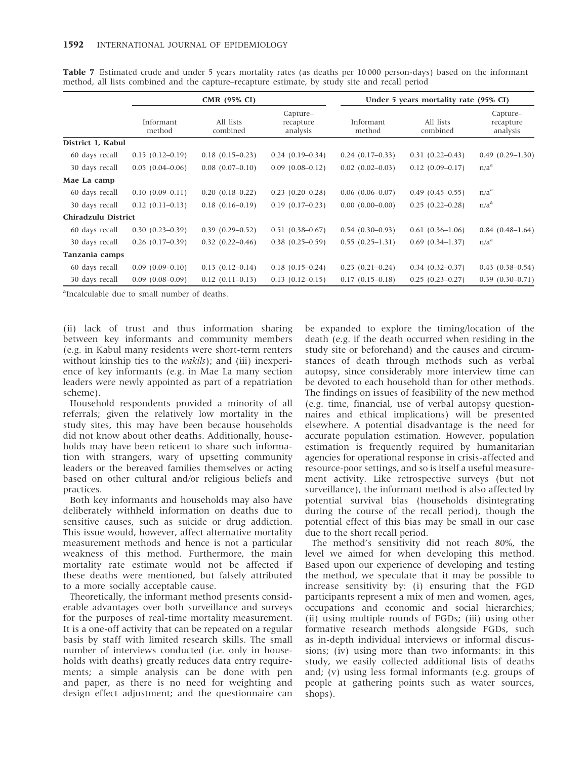|                     |                     | CMR (95% CI)          |                                   |                        | Under 5 years mortality rate (95% CI) |                                   |
|---------------------|---------------------|-----------------------|-----------------------------------|------------------------|---------------------------------------|-----------------------------------|
|                     | Informant<br>method | All lists<br>combined | Capture-<br>recapture<br>analysis | Informant<br>method    | All lists<br>combined                 | Capture-<br>recapture<br>analysis |
| District 1, Kabul   |                     |                       |                                   |                        |                                       |                                   |
| 60 days recall      | $0.15(0.12-0.19)$   | $0.18(0.15-0.23)$     | $0.24(0.19-0.34)$                 | $0.24(0.17-0.33)$      | $0.31(0.22 - 0.43)$                   | $0.49(0.29 - 1.30)$               |
| 30 days recall      | $0.05(0.04-0.06)$   | $0.08$ $(0.07-0.10)$  | $0.09(0.08-0.12)$                 | $0.02$ $(0.02 - 0.03)$ | $0.12$ $(0.09-0.17)$                  | n/a <sup>a</sup>                  |
| Mae La camp         |                     |                       |                                   |                        |                                       |                                   |
| 60 days recall      | $0.10(0.09 - 0.11)$ | $0.20(0.18-0.22)$     | $0.23$ $(0.20-0.28)$              | $0.06$ $(0.06 - 0.07)$ | $0.49$ $(0.45-0.55)$                  | n/a <sup>a</sup>                  |
| 30 days recall      | $0.12(0.11-0.13)$   | $0.18(0.16-0.19)$     | $0.19(0.17-0.23)$                 | $0.00(0.00-0.00)$      | $0.25(0.22 - 0.28)$                   | n/a <sup>a</sup>                  |
| Chiradzulu District |                     |                       |                                   |                        |                                       |                                   |
| 60 days recall      | $0.30(0.23-0.39)$   | $0.39(0.29 - 0.52)$   | $0.51(0.38 - 0.67)$               | $0.54(0.30-0.93)$      | $0.61(0.36-1.06)$                     | $0.84$ $(0.48-1.64)$              |
| 30 days recall      | $0.26$ (0.17-0.39)  | $0.32(0.22 - 0.46)$   | $0.38(0.25-0.59)$                 | $0.55(0.25-1.31)$      | $0.69(0.34 - 1.37)$                   | n/a <sup>a</sup>                  |
| Tanzania camps      |                     |                       |                                   |                        |                                       |                                   |
| 60 days recall      | $0.09(0.09-0.10)$   | $0.13(0.12-0.14)$     | $0.18(0.15-0.24)$                 | $0.23$ $(0.21 - 0.24)$ | $0.34(0.32 - 0.37)$                   | $0.43$ $(0.38 - 0.54)$            |
| 30 days recall      | $0.09(0.08-0.09)$   | $0.12(0.11-0.13)$     | $0.13(0.12-0.15)$                 | $0.17(0.15-0.18)$      | $0.25(0.23 - 0.27)$                   | $0.39(0.30-0.71)$                 |

Table 7 Estimated crude and under 5 years mortality rates (as deaths per 10 000 person-days) based on the informant method, all lists combined and the capture–recapture estimate, by study site and recall period

<sup>a</sup>Incalculable due to small number of deaths.

(ii) lack of trust and thus information sharing between key informants and community members (e.g. in Kabul many residents were short-term renters without kinship ties to the *wakils*); and (iii) inexperience of key informants (e.g. in Mae La many section leaders were newly appointed as part of a repatriation scheme).

Household respondents provided a minority of all referrals; given the relatively low mortality in the study sites, this may have been because households did not know about other deaths. Additionally, households may have been reticent to share such information with strangers, wary of upsetting community leaders or the bereaved families themselves or acting based on other cultural and/or religious beliefs and practices.

Both key informants and households may also have deliberately withheld information on deaths due to sensitive causes, such as suicide or drug addiction. This issue would, however, affect alternative mortality measurement methods and hence is not a particular weakness of this method. Furthermore, the main mortality rate estimate would not be affected if these deaths were mentioned, but falsely attributed to a more socially acceptable cause.

Theoretically, the informant method presents considerable advantages over both surveillance and surveys for the purposes of real-time mortality measurement. It is a one-off activity that can be repeated on a regular basis by staff with limited research skills. The small number of interviews conducted (i.e. only in households with deaths) greatly reduces data entry requirements; a simple analysis can be done with pen and paper, as there is no need for weighting and design effect adjustment; and the questionnaire can be expanded to explore the timing/location of the death (e.g. if the death occurred when residing in the study site or beforehand) and the causes and circumstances of death through methods such as verbal autopsy, since considerably more interview time can be devoted to each household than for other methods. The findings on issues of feasibility of the new method (e.g. time, financial, use of verbal autopsy questionnaires and ethical implications) will be presented elsewhere. A potential disadvantage is the need for accurate population estimation. However, population estimation is frequently required by humanitarian agencies for operational response in crisis-affected and resource-poor settings, and so is itself a useful measurement activity. Like retrospective surveys (but not surveillance), the informant method is also affected by potential survival bias (households disintegrating during the course of the recall period), though the potential effect of this bias may be small in our case due to the short recall period.

The method's sensitivity did not reach 80%, the level we aimed for when developing this method. Based upon our experience of developing and testing the method, we speculate that it may be possible to increase sensitivity by: (i) ensuring that the FGD participants represent a mix of men and women, ages, occupations and economic and social hierarchies; (ii) using multiple rounds of FGDs; (iii) using other formative research methods alongside FGDs, such as in-depth individual interviews or informal discussions; (iv) using more than two informants: in this study, we easily collected additional lists of deaths and; (v) using less formal informants (e.g. groups of people at gathering points such as water sources, shops).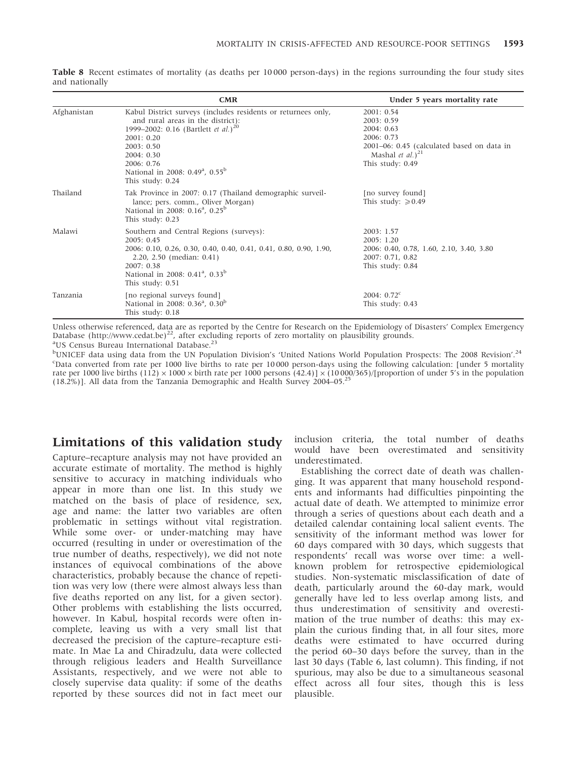|             | <b>CMR</b>                                                                                                                                                                                                                                                                                   | Under 5 years mortality rate                                                                                                                           |
|-------------|----------------------------------------------------------------------------------------------------------------------------------------------------------------------------------------------------------------------------------------------------------------------------------------------|--------------------------------------------------------------------------------------------------------------------------------------------------------|
| Afghanistan | Kabul District surveys (includes residents or returnees only,<br>and rural areas in the district):<br>1999–2002: 0.16 (Bartlett et al.) <sup>20</sup><br>2001: 0.20<br>2003: 0.50<br>2004: 0.30<br>2006: 0.76<br>National in 2008: 0.49 <sup>a</sup> , 0.55 <sup>b</sup><br>This study: 0.24 | 2001: 0.54<br>2003: 0.59<br>2004: 0.63<br>2006: 0.73<br>2001–06: 0.45 (calculated based on data in<br>Mashal et al.) <sup>21</sup><br>This study: 0.49 |
| Thailand    | Tak Province in 2007: 0.17 (Thailand demographic surveil-<br>lance; pers. comm., Oliver Morgan)<br>National in 2008: 0.16 <sup>a</sup> , 0.25 <sup>b</sup><br>This study: 0.23                                                                                                               | [no survey found]<br>This study: $\geqslant 0.49$                                                                                                      |
| Malawi      | Southern and Central Regions (surveys):<br>2005:0.45<br>2006: 0.10, 0.26, 0.30, 0.40, 0.40, 0.41, 0.41, 0.80, 0.90, 1.90,<br>2.20, 2.50 (median: 0.41)<br>2007: 0.38<br>National in 2008: 0.41 <sup>a</sup> , 0.33 <sup>b</sup><br>This study: 0.51                                          | 2003: 1.57<br>2005: 1.20<br>2006: 0.40, 0.78, 1.60, 2.10, 3.40, 3.80<br>2007: 0.71, 0.82<br>This study: 0.84                                           |
| Tanzania    | [no regional surveys found]<br>National in 2008: 0.36 <sup>a</sup> , 0.30 <sup>b</sup><br>This study: 0.18                                                                                                                                                                                   | 2004: $0.72^{\circ}$<br>This study: 0.43                                                                                                               |

Table 8 Recent estimates of mortality (as deaths per 10000 person-days) in the regions surrounding the four study sites and nationally

Unless otherwise referenced, data are as reported by the Centre for Research on the Epidemiology of Disasters' Complex Emergency Database [\(http://www.cedat.be\)](http://www.cedat.be)22)<sup>22</sup>, after excluding reports of zero mortality on plausibility grounds.

<sup>a</sup>US Census Bureau International Database.<sup>23</sup>

 $^{\rm b}$ UNICEF data using data from the UN Population Division's 'United Nations World Population Prospects: The 2008 Revision'. $^{24}$ c Data converted from rate per 1000 live births to rate per 10 000 person-days using the following calculation: [under 5 mortality rate per 1000 live births (112)  $\times$  1000  $\times$  birth rate per 1000 persons (42.4)]  $\times$  (10 000/365)/[proportion of under 5's in the population (18.2%)]. All data from the Tanzania Demographic and Health Survey 2004–05.<sup>25</sup>

## Limitations of this validation study

Capture–recapture analysis may not have provided an accurate estimate of mortality. The method is highly sensitive to accuracy in matching individuals who appear in more than one list. In this study we matched on the basis of place of residence, sex, age and name: the latter two variables are often problematic in settings without vital registration. While some over- or under-matching may have occurred (resulting in under or overestimation of the true number of deaths, respectively), we did not note instances of equivocal combinations of the above characteristics, probably because the chance of repetition was very low (there were almost always less than five deaths reported on any list, for a given sector). Other problems with establishing the lists occurred, however. In Kabul, hospital records were often incomplete, leaving us with a very small list that decreased the precision of the capture–recapture estimate. In Mae La and Chiradzulu, data were collected through religious leaders and Health Surveillance Assistants, respectively, and we were not able to closely supervise data quality: if some of the deaths reported by these sources did not in fact meet our

inclusion criteria, the total number of deaths would have been overestimated and sensitivity underestimated.

Establishing the correct date of death was challenging. It was apparent that many household respondents and informants had difficulties pinpointing the actual date of death. We attempted to minimize error through a series of questions about each death and a detailed calendar containing local salient events. The sensitivity of the informant method was lower for 60 days compared with 30 days, which suggests that respondents' recall was worse over time: a wellknown problem for retrospective epidemiological studies. Non-systematic misclassification of date of death, particularly around the 60-day mark, would generally have led to less overlap among lists, and thus underestimation of sensitivity and overestimation of the true number of deaths: this may explain the curious finding that, in all four sites, more deaths were estimated to have occurred during the period 60–30 days before the survey, than in the last 30 days (Table 6, last column). This finding, if not spurious, may also be due to a simultaneous seasonal effect across all four sites, though this is less plausible.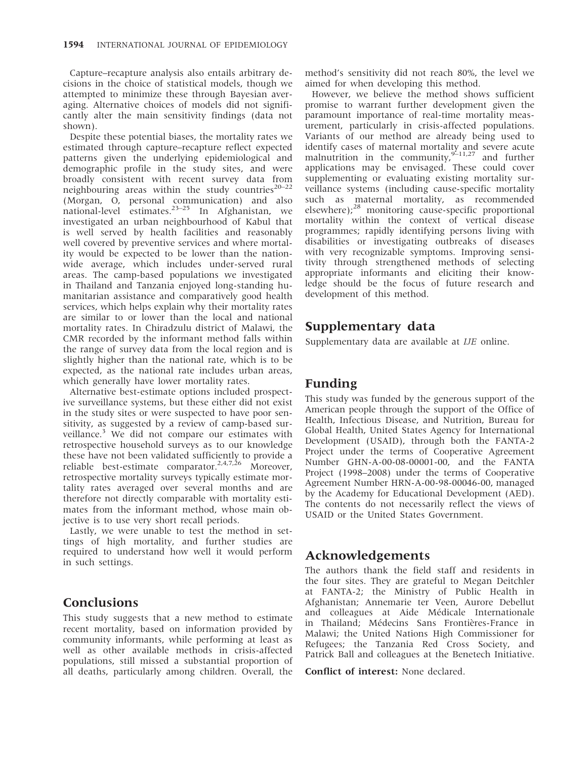Capture–recapture analysis also entails arbitrary decisions in the choice of statistical models, though we attempted to minimize these through Bayesian averaging. Alternative choices of models did not significantly alter the main sensitivity findings (data not shown).

Despite these potential biases, the mortality rates we estimated through capture–recapture reflect expected patterns given the underlying epidemiological and demographic profile in the study sites, and were broadly consistent with recent survey data from neighbouring areas within the study countries $20-22$ (Morgan, O, personal communication) and also national-level estimates. $23-25$  In Afghanistan, we investigated an urban neighbourhood of Kabul that is well served by health facilities and reasonably well covered by preventive services and where mortality would be expected to be lower than the nationwide average, which includes under-served rural areas. The camp-based populations we investigated in Thailand and Tanzania enjoyed long-standing humanitarian assistance and comparatively good health services, which helps explain why their mortality rates are similar to or lower than the local and national mortality rates. In Chiradzulu district of Malawi, the CMR recorded by the informant method falls within the range of survey data from the local region and is slightly higher than the national rate, which is to be expected, as the national rate includes urban areas, which generally have lower mortality rates.

Alternative best-estimate options included prospective surveillance systems, but these either did not exist in the study sites or were suspected to have poor sensitivity, as suggested by a review of camp-based surveillance.<sup>3</sup> We did not compare our estimates with retrospective household surveys as to our knowledge these have not been validated sufficiently to provide a reliable best-estimate comparator.<sup>2,4,7,26</sup> Moreover, retrospective mortality surveys typically estimate mortality rates averaged over several months and are therefore not directly comparable with mortality estimates from the informant method, whose main objective is to use very short recall periods.

Lastly, we were unable to test the method in settings of high mortality, and further studies are required to understand how well it would perform in such settings.

# **Conclusions**

This study suggests that a new method to estimate recent mortality, based on information provided by community informants, while performing at least as well as other available methods in crisis-affected populations, still missed a substantial proportion of all deaths, particularly among children. Overall, the

method's sensitivity did not reach 80%, the level we aimed for when developing this method.

However, we believe the method shows sufficient promise to warrant further development given the paramount importance of real-time mortality measurement, particularly in crisis-affected populations. Variants of our method are already being used to identify cases of maternal mortality and severe acute malnutrition in the community,  $y^{6-11,27}$  and further applications may be envisaged. These could cover supplementing or evaluating existing mortality surveillance systems (including cause-specific mortality such as maternal mortality, as recommended elsewhere); $^{28}$  monitoring cause-specific proportional mortality within the context of vertical disease programmes; rapidly identifying persons living with disabilities or investigating outbreaks of diseases with very recognizable symptoms. Improving sensitivity through strengthened methods of selecting appropriate informants and eliciting their knowledge should be the focus of future research and development of this method.

# Supplementary data

Supplementary data are available at IJE online.

# Funding

This study was funded by the generous support of the American people through the support of the Office of Health, Infectious Disease, and Nutrition, Bureau for Global Health, United States Agency for International Development (USAID), through both the FANTA-2 Project under the terms of Cooperative Agreement Number GHN-A-00-08-00001-00, and the FANTA Project (1998–2008) under the terms of Cooperative Agreement Number HRN-A-00-98-00046-00, managed by the Academy for Educational Development (AED). The contents do not necessarily reflect the views of USAID or the United States Government.

# Acknowledgements

The authors thank the field staff and residents in the four sites. They are grateful to Megan Deitchler at FANTA-2; the Ministry of Public Health in Afghanistan; Annemarie ter Veen, Aurore Debellut and colleagues at Aide Médicale Internationale in Thailand; Médecins Sans Frontières-France in Malawi; the United Nations High Commissioner for Refugees; the Tanzania Red Cross Society, and Patrick Ball and colleagues at the Benetech Initiative.

Conflict of interest: None declared.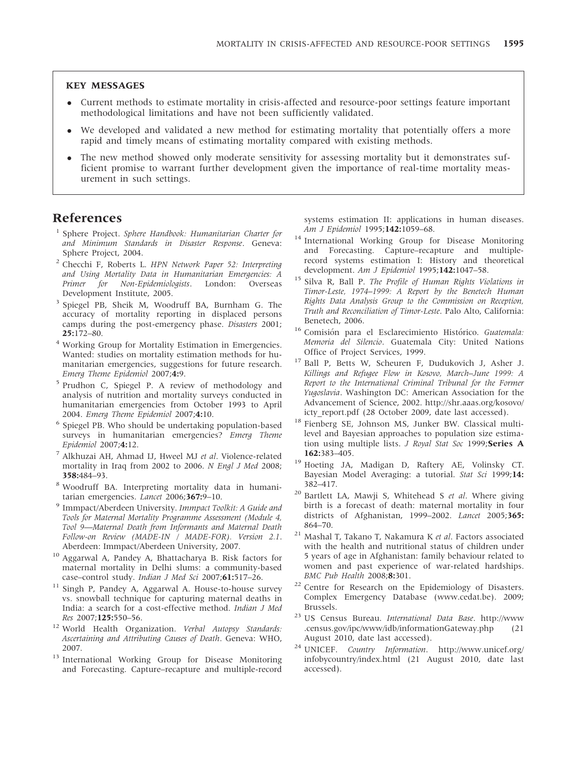#### KEY MESSAGES

- Current methods to estimate mortality in crisis-affected and resource-poor settings feature important methodological limitations and have not been sufficiently validated.
- We developed and validated a new method for estimating mortality that potentially offers a more rapid and timely means of estimating mortality compared with existing methods.
- The new method showed only moderate sensitivity for assessing mortality but it demonstrates sufficient promise to warrant further development given the importance of real-time mortality measurement in such settings.

## References

- Sphere Project. Sphere Handbook: Humanitarian Charter for and Minimum Standards in Disaster Response. Geneva: Sphere Project, 2004.
- <sup>2</sup> Checchi F, Roberts L. HPN Network Paper 52: Interpreting and Using Mortality Data in Humanitarian Emergencies: A Primer for Non-Epidemiologists. London: Overseas Development Institute, 2005.
- <sup>3</sup> Spiegel PB, Sheik M, Woodruff BA, Burnham G. The accuracy of mortality reporting in displaced persons camps during the post-emergency phase. Disasters 2001; 25:172–80.
- <sup>4</sup> Working Group for Mortality Estimation in Emergencies. Wanted: studies on mortality estimation methods for humanitarian emergencies, suggestions for future research. Emerg Theme Epidemiol 2007;4:9.
- <sup>5</sup> Prudhon C, Spiegel P. A review of methodology and analysis of nutrition and mortality surveys conducted in humanitarian emergencies from October 1993 to April 2004. Emerg Theme Epidemiol 2007;4:10.
- <sup>6</sup> Spiegel PB. Who should be undertaking population-based surveys in humanitarian emergencies? Emerg Theme Epidemiol 2007;4:12.
- <sup>7</sup> Alkhuzai AH, Ahmad IJ, Hweel MJ et al. Violence-related mortality in Iraq from 2002 to 2006. N Engl J Med 2008; 358:484–93.
- <sup>8</sup> Woodruff BA. Interpreting mortality data in humanitarian emergencies. Lancet 2006;367:9-10.
- <sup>9</sup> Immpact/Aberdeen University. Immpact Toolkit: A Guide and Tools for Maternal Mortality Programme Assessment (Module 4, Tool 9—Maternal Death from Informants and Maternal Death Follow-on Review (MADE-IN / MADE-FOR). Version 2.1. Aberdeen: Immpact/Aberdeen University, 2007.
- <sup>10</sup> Aggarwal A, Pandey A, Bhattacharya B. Risk factors for maternal mortality in Delhi slums: a community-based case–control study. Indian J Med Sci 2007;61:517–26.
- <sup>11</sup> Singh P, Pandey A, Aggarwal A. House-to-house survey vs. snowball technique for capturing maternal deaths in India: a search for a cost-effective method. Indian J Med Res 2007;125:550–56.
- <sup>12</sup> World Health Organization. Verbal Autopsy Standards: Ascertaining and Attributing Causes of Death. Geneva: WHO, 2007.
- <sup>13</sup> International Working Group for Disease Monitoring and Forecasting. Capture–recapture and multiple-record

systems estimation II: applications in human diseases. Am J Epidemiol 1995;142:1059-68.

- <sup>14</sup> International Working Group for Disease Monitoring and Forecasting. Capture–recapture and multiplerecord systems estimation I: History and theoretical development. Am J Epidemiol 1995;142:1047-58.
- <sup>15</sup> Silva R, Ball P. The Profile of Human Rights Violations in Timor-Leste, 1974–1999: A Report by the Benetech Human Rights Data Analysis Group to the Commission on Reception, Truth and Reconciliation of Timor-Leste. Palo Alto, California: Benetech, 2006.
- <sup>16</sup> Comisión para el Esclarecimiento Histórico. Guatemala: Memoria del Silencio. Guatemala City: United Nations Office of Project Services, 1999.
- <sup>17</sup> Ball P, Betts W, Scheuren F, Dudukovich J, Asher J. Killings and Refugee Flow in Kosovo, March–June 1999: A Report to the International Criminal Tribunal for the Former Yugoslavia. Washington DC: American Association for the Advancement of Science, 2002.<http://shr.aaas.org/kosovo/> icty report.pdf (28 October 2009, date last accessed).
- <sup>18</sup> Fienberg SE, Johnson MS, Junker BW. Classical multilevel and Bayesian approaches to population size estimation using multiple lists. J Royal Stat Soc 1999; Series A 162:383–405.
- <sup>19</sup> Hoeting JA, Madigan D, Raftery AE, Volinsky CT. Bayesian Model Averaging: a tutorial. Stat Sci 1999;14: 382–417.
- $20$  Bartlett LA, Mawji S, Whitehead S et al. Where giving birth is a forecast of death: maternal mortality in four districts of Afghanistan, 1999–2002. Lancet 2005;365: 864–70.
- $21$  Mashal T, Takano T, Nakamura K et al. Factors associated with the health and nutritional status of children under 5 years of age in Afghanistan: family behaviour related to women and past experience of war-related hardships. BMC Pub Health 2008;8:301.
- <sup>22</sup> Centre for Research on the Epidemiology of Disasters. Complex Emergency Database (www.cedat.be). 2009; Brussels.
- <sup>23</sup> US Census Bureau. International Data Base.<http://www> .census.gov/ipc/www/idb/informationGateway.php (21 August 2010, date last accessed).
- <sup>24</sup> UNICEF. Country Information.<http://www.unicef.org/> infobycountry/index.html (21 August 2010, date last accessed).